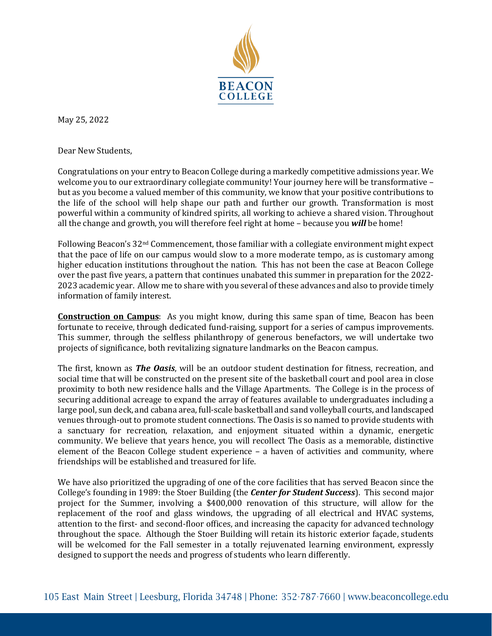

May 25, 2022

Dear New Students,

Congratulations on your entry to Beacon College during a markedly competitive admissions year. We welcome you to our extraordinary collegiate community! Your journey here will be transformative but as you become a valued member of this community, we know that your positive contributions to the life of the school will help shape our path and further our growth. Transformation is most powerful within a community of kindred spirits, all working to achieve a shared vision. Throughout all the change and growth, you will therefore feel right at home – because you *will* be home!

Following Beacon's 32nd Commencement, those familiar with a collegiate environment might expect that the pace of life on our campus would slow to a more moderate tempo, as is customary among higher education institutions throughout the nation. This has not been the case at Beacon College over the past five years, a pattern that continues unabated this summer in preparation for the 2022- 2023 academic year. Allow me to share with you several of these advances and also to provide timely information of family interest.

**Construction on Campus**: As you might know, during this same span of time, Beacon has been fortunate to receive, through dedicated fund-raising, support for a series of campus improvements. This summer, through the selfless philanthropy of generous benefactors, we will undertake two projects of significance, both revitalizing signature landmarks on the Beacon campus.

The first, known as *The Oasis*, will be an outdoor student destination for fitness, recreation, and social time that will be constructed on the present site of the basketball court and pool area in close proximity to both new residence halls and the Village Apartments. The College is in the process of securing additional acreage to expand the array of features available to undergraduates including a large pool, sun deck, and cabana area, full-scale basketball and sand volleyball courts, and landscaped venues through-out to promote student connections. The Oasis is so named to provide students with a sanctuary for recreation, relaxation, and enjoyment situated within a dynamic, energetic community. We believe that years hence, you will recollect The Oasis as a memorable, distinctive element of the Beacon College student experience – a haven of activities and community, where friendships will be established and treasured for life.

We have also prioritized the upgrading of one of the core facilities that has served Beacon since the College's founding in 1989: the Stoer Building (the *Center for Student Success*). This second major project for the Summer, involving a \$400,000 renovation of this structure, will allow for the replacement of the roof and glass windows, the upgrading of all electrical and HVAC systems, attention to the first- and second-floor offices, and increasing the capacity for advanced technology throughout the space. Although the Stoer Building will retain its historic exterior façade, students will be welcomed for the Fall semester in a totally rejuvenated learning environment, expressly designed to support the needs and progress of students who learn differently.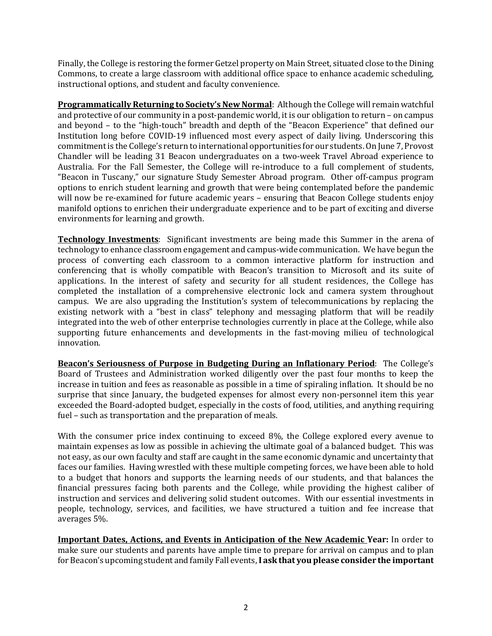Finally, the College is restoring the former Getzel property on Main Street, situated close to the Dining Commons, to create a large classroom with additional office space to enhance academic scheduling, instructional options, and student and faculty convenience.

**Programmatically Returning to Society's New Normal**: Although the College will remain watchful and protective of our community in a post-pandemic world, it is our obligation to return – on campus and beyond – to the "high-touch" breadth and depth of the "Beacon Experience" that defined our Institution long before COVID-19 influenced most every aspect of daily living. Underscoring this commitment is the College's return to international opportunities for our students. On June 7, Provost Chandler will be leading 31 Beacon undergraduates on a two-week Travel Abroad experience to Australia. For the Fall Semester, the College will re-introduce to a full complement of students, "Beacon in Tuscany," our signature Study Semester Abroad program. Other off-campus program options to enrich student learning and growth that were being contemplated before the pandemic will now be re-examined for future academic years – ensuring that Beacon College students enjoy manifold options to enrichen their undergraduate experience and to be part of exciting and diverse environments for learning and growth.

**Technology Investments**: Significant investments are being made this Summer in the arena of technology to enhance classroom engagement and campus-wide communication. We have begun the process of converting each classroom to a common interactive platform for instruction and conferencing that is wholly compatible with Beacon's transition to Microsoft and its suite of applications. In the interest of safety and security for all student residences, the College has completed the installation of a comprehensive electronic lock and camera system throughout campus. We are also upgrading the Institution's system of telecommunications by replacing the existing network with a "best in class" telephony and messaging platform that will be readily integrated into the web of other enterprise technologies currently in place at the College, while also supporting future enhancements and developments in the fast-moving milieu of technological innovation.

**Beacon's Seriousness of Purpose in Budgeting During an Inflationary Period**: The College's Board of Trustees and Administration worked diligently over the past four months to keep the increase in tuition and fees as reasonable as possible in a time of spiraling inflation. It should be no surprise that since January, the budgeted expenses for almost every non-personnel item this year exceeded the Board-adopted budget, especially in the costs of food, utilities, and anything requiring fuel – such as transportation and the preparation of meals.

With the consumer price index continuing to exceed 8%, the College explored every avenue to maintain expenses as low as possible in achieving the ultimate goal of a balanced budget. This was not easy, as our own faculty and staff are caught in the same economic dynamic and uncertainty that faces our families. Having wrestled with these multiple competing forces, we have been able to hold to a budget that honors and supports the learning needs of our students, and that balances the financial pressures facing both parents and the College, while providing the highest caliber of instruction and services and delivering solid student outcomes. With our essential investments in people, technology, services, and facilities, we have structured a tuition and fee increase that averages 5%.

**Important Dates, Actions, and Events in Anticipation of the New Academic Year:** In order to make sure our students and parents have ample time to prepare for arrival on campus and to plan for Beacon's upcoming student and family Fall events,**I ask that you please consider the important**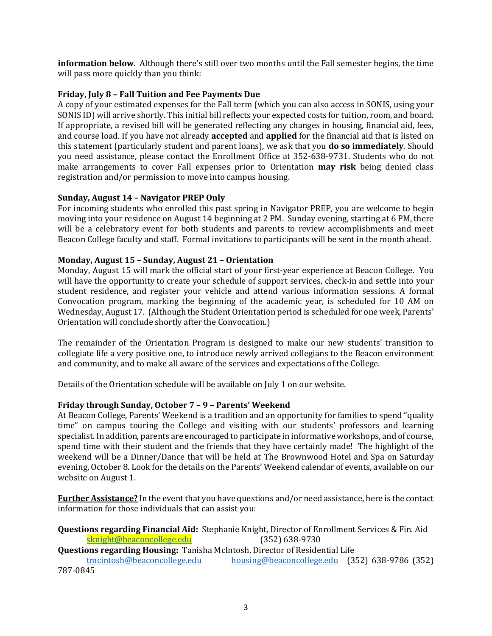**information below**. Although there's still over two months until the Fall semester begins, the time will pass more quickly than you think:

## **Friday, July 8 – Fall Tuition and Fee Payments Due**

A copy of your estimated expenses for the Fall term (which you can also access in SONIS, using your SONIS ID) will arrive shortly. This initial bill reflects your expected costs for tuition, room, and board. If appropriate, a revised bill will be generated reflecting any changes in housing, financial aid, fees, and course load. If you have not already **accepted** and **applied** for the financial aid that is listed on this statement (particularly student and parent loans), we ask that you **do so immediately**. Should you need assistance, please contact the Enrollment Office at 352-638-9731. Students who do not make arrangements to cover Fall expenses prior to Orientation **may risk** being denied class registration and/or permission to move into campus housing.

## **Sunday, August 14 – Navigator PREP Only**

For incoming students who enrolled this past spring in Navigator PREP, you are welcome to begin moving into your residence on August 14 beginning at 2 PM. Sunday evening, starting at 6 PM, there will be a celebratory event for both students and parents to review accomplishments and meet Beacon College faculty and staff. Formal invitations to participants will be sent in the month ahead.

## **Monday, August 15 – Sunday, August 21 – Orientation**

Monday, August 15 will mark the official start of your first-year experience at Beacon College. You will have the opportunity to create your schedule of support services, check-in and settle into your student residence, and register your vehicle and attend various information sessions. A formal Convocation program, marking the beginning of the academic year, is scheduled for 10 AM on Wednesday, August 17. (Although the Student Orientation period is scheduled for one week, Parents' Orientation will conclude shortly after the Convocation.)

The remainder of the Orientation Program is designed to make our new students' transition to collegiate life a very positive one, to introduce newly arrived collegians to the Beacon environment and community, and to make all aware of the services and expectations of the College.

Details of the Orientation schedule will be available on July 1 on our website.

## **Friday through Sunday, October 7 – 9 – Parents' Weekend**

At Beacon College, Parents' Weekend is a tradition and an opportunity for families to spend "quality time" on campus touring the College and visiting with our students' professors and learning specialist. In addition, parents are encouraged to participate in informative workshops, and of course, spend time with their student and the friends that they have certainly made! The highlight of the weekend will be a Dinner/Dance that will be held at The Brownwood Hotel and Spa on Saturday evening, October 8. Look for the details on the Parents' Weekend calendar of events, available on our website on August 1.

**Further Assistance?** In the event that you have questions and/or need assistance, here is the contact information for those individuals that can assist you:

**Questions regarding Financial Aid:** Stephanie Knight, Director of Enrollment Services & Fin. Aid [sknight@beaconcollege.edu](mailto:sknight@beaconcollege.edu)

**Questions regarding Housing:** Tanisha McIntosh, Director of Residential Life

[housing@beaconcollege.edu](mailto:housing@beaconcollege.edu) (352) 638-9786 (352) 787-0845